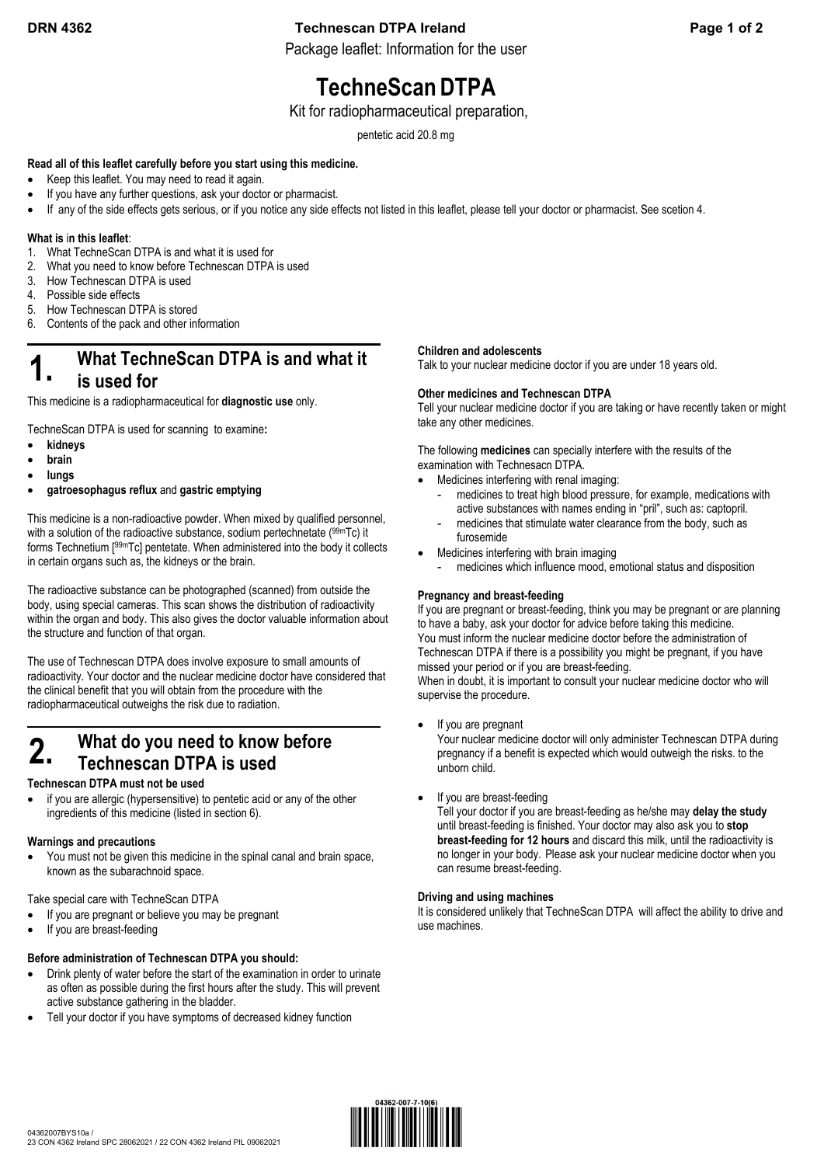## **DRN 4362 Technescan DTPA Ireland Page 1 of 2**

Package leaflet: Information for the user

# **TechneScanDTPA**

#### Kit for radiopharmaceutical preparation,

pentetic acid 20.8 mg

#### **Read all of this leaflet carefully before you start using this medicine.**

- Keep this leaflet. You may need to read it again.
- If you have any further questions, ask your doctor or pharmacist.
- If any of the side effects gets serious, or if you notice any side effects not listed in this leaflet, please tell your doctor or pharmacist. See scetion 4.

#### **What is** i**n this leaflet**:

- 1. What TechneScan DTPA is and what it is used for
- 2. What you need to know before Technescan DTPA is used
- 3. How Technescan DTPA is used
- 4. Possible side effects
- 5. How Technescan DTPA is stored
- 6. Contents of the pack and other information

## **1.** What TechneScan DTPA is and what it **is used for**

This medicine is a radiopharmaceutical for **diagnostic use** only.

TechneScan DTPA is used for scanning to examine**:** 

- **kidneys**
- **brain**
- **lungs**
- **gatroesophagus reflux** and **gastric emptying**

This medicine is a non-radioactive powder. When mixed by qualified personnel, with a solution of the radioactive substance, sodium pertechnetate (99mTc) it forms Technetium [99mTc] pentetate. When administered into the body it collects in certain organs such as, the kidneys or the brain.

The radioactive substance can be photographed (scanned) from outside the body, using special cameras. This scan shows the distribution of radioactivity within the organ and body. This also gives the doctor valuable information about the structure and function of that organ.

The use of Technescan DTPA does involve exposure to small amounts of radioactivity. Your doctor and the nuclear medicine doctor have considered that the clinical benefit that you will obtain from the procedure with the radiopharmaceutical outweighs the risk due to radiation.

## **2.** What do you need to know before **Technescan DTPA is used**

#### **Technescan DTPA must not be used**

 if you are allergic (hypersensitive) to pentetic acid or any of the other ingredients of this medicine (listed in section 6).

#### **Warnings and precautions**

 You must not be given this medicine in the spinal canal and brain space, known as the subarachnoid space.

Take special care with TechneScan DTPA

- If you are pregnant or believe you may be pregnant
- If you are breast-feeding

#### **Before administration of Technescan DTPA you should:**

- Drink plenty of water before the start of the examination in order to urinate as often as possible during the first hours after the study. This will prevent active substance gathering in the bladder.
- Tell your doctor if you have symptoms of decreased kidney function

#### **Children and adolescents**

Talk to your nuclear medicine doctor if you are under 18 years old.

#### **Other medicines and Technescan DTPA**

Tell your nuclear medicine doctor if you are taking or have recently taken or might take any other medicines.

The following **medicines** can specially interfere with the results of the examination with Technesacn DTPA.

- Medicines interfering with renal imaging:
	- medicines to treat high blood pressure, for example, medications with active substances with names ending in "pril", such as: captopril.
	- medicines that stimulate water clearance from the body, such as furosemide
- Medicines interfering with brain imaging
	- medicines which influence mood, emotional status and disposition

#### **Pregnancy and breast-feeding**

If you are pregnant or breast-feeding, think you may be pregnant or are planning to have a baby, ask your doctor for advice before taking this medicine. You must inform the nuclear medicine doctor before the administration of Technescan DTPA if there is a possibility you might be pregnant, if you have missed your period or if you are breast-feeding. When in doubt, it is important to consult your nuclear medicine doctor who will supervise the procedure.

If you are pregnant

Your nuclear medicine doctor will only administer Technescan DTPA during pregnancy if a benefit is expected which would outweigh the risks. to the unborn child.

If you are breast-feeding

Tell your doctor if you are breast-feeding as he/she may **delay the study** until breast-feeding is finished. Your doctor may also ask you to **stop breast-feeding for 12 hours** and discard this milk, until the radioactivity is no longer in your body. Please ask your nuclear medicine doctor when you can resume breast-feeding.

#### **Driving and using machines**

It is considered unlikely that TechneScan DTPA will affect the ability to drive and use machines.